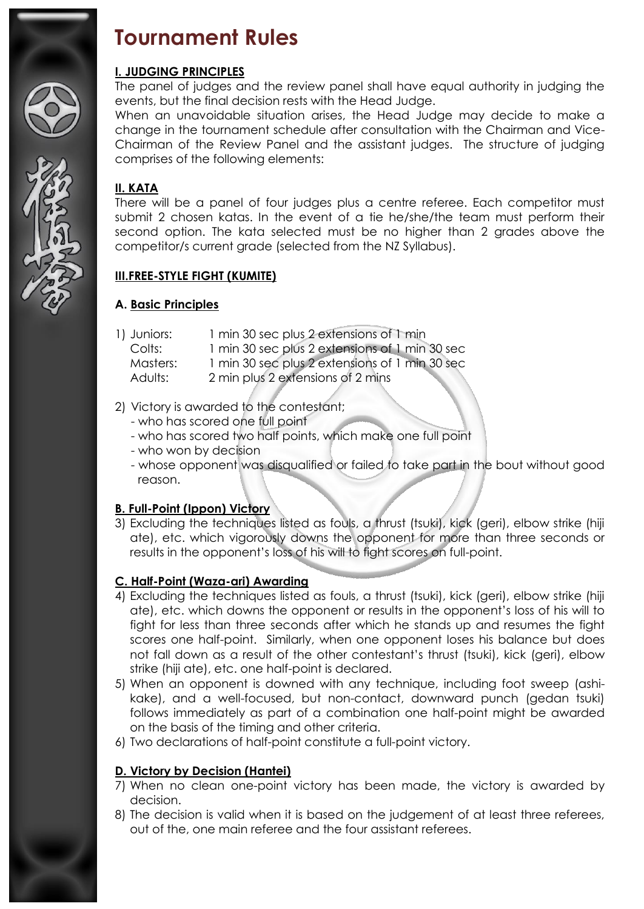

# **Tournament Rules**

#### **I. JUDGING PRINCIPLES**

The panel of judges and the review panel shall have equal authority in judging the events, but the final decision rests with the Head Judge.

When an unavoidable situation arises, the Head Judge may decide to make a change in the tournament schedule after consultation with the Chairman and Vice-Chairman of the Review Panel and the assistant judges. The structure of judging comprises of the following elements:

### **II. KATA**

There will be a panel of four judges plus a centre referee. Each competitor must submit 2 chosen katas. In the event of a tie he/she/the team must perform their second option. The kata selected must be no higher than 2 grades above the competitor/s current grade (selected from the NZ Syllabus).

## **III.FREE-STYLE FIGHT (KUMITE)**

#### **A. Basic Principles**

- 1) Juniors: 1 min 30 sec plus 2 extensions of 1 min
	- Colts: 1 min 30 sec plus 2 extensions of 1 min 30 sec
	- Masters: 1 min 30 sec plus 2 extensions of 1 min 30 sec
	- Adults: 2 min plus 2 extensions of 2 mins

#### 2) Victory is awarded to the contestant;

- who has scored one full point
- who has scored two half points, which make one full point
- who won by decision
- whose opponent was disqualified or failed to take part in the bout without good reason.

#### **B. Full-Point (Ippon) Victory**

3) Excluding the techniques listed as fouls, a thrust (tsuki), kick (geri), elbow strike (hiji ate), etc. which vigorously downs the opponent for more than three seconds or results in the opponent's loss of his will to fight scores on full-point.

#### **C. Half-Point (Waza-ari) Awarding**

- 4) Excluding the techniques listed as fouls, a thrust (tsuki), kick (geri), elbow strike (hiji ate), etc. which downs the opponent or results in the opponent's loss of his will to fight for less than three seconds after which he stands up and resumes the fight scores one half-point. Similarly, when one opponent loses his balance but does not fall down as a result of the other contestant's thrust (tsuki), kick (geri), elbow strike (hiji ate), etc. one half-point is declared.
- 5) When an opponent is downed with any technique, including foot sweep (ashikake), and a well-focused, but non-contact, downward punch (gedan tsuki) follows immediately as part of a combination one half-point might be awarded on the basis of the timing and other criteria.
- 6) Two declarations of half-point constitute a full-point victory.

#### **D. Victory by Decision (Hantei)**

- 7) When no clean one-point victory has been made, the victory is awarded by decision.
- 8) The decision is valid when it is based on the judgement of at least three referees, out of the, one main referee and the four assistant referees.